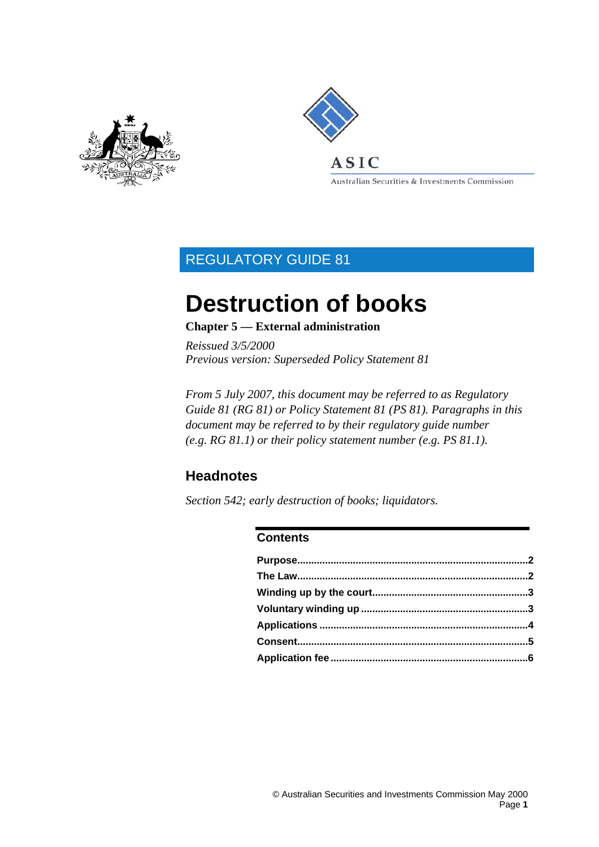



Australian Securities & Investments Commission

### REGULATORY GUIDE 81

# **Destruction of books**

#### **Chapter 5 — External administration**

*Reissued 3/5/2000 Previous version: Superseded Policy Statement 81* 

*From 5 July 2007, this document may be referred to as Regulatory Guide 81 (RG 81) or Policy Statement 81 (PS 81). Paragraphs in this document may be referred to by their regulatory guide number (e.g. RG 81.1) or their policy statement number (e.g. PS 81.1).* 

#### **Headnotes**

*Section 542; early destruction of books; liquidators.* 

#### **Contents**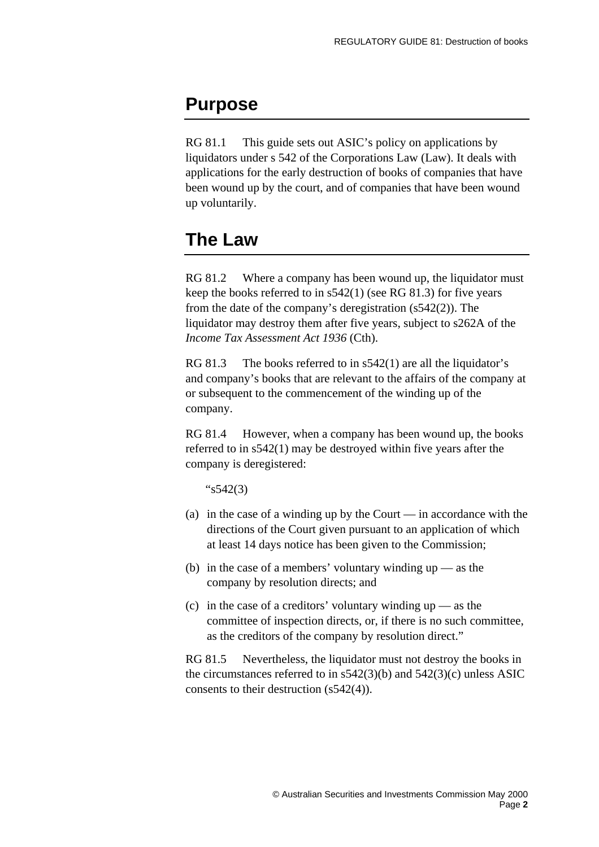### <span id="page-1-0"></span>**Purpose**

RG 81.1 This guide sets out ASIC's policy on applications by liquidators under s 542 of the Corporations Law (Law). It deals with applications for the early destruction of books of companies that have been wound up by the court, and of companies that have been wound up voluntarily.

### **The Law**

RG 81.2 Where a company has been wound up, the liquidator must keep the books referred to in s542(1) (see RG 81.3) for five years from the date of the company's deregistration (s542(2)). The liquidator may destroy them after five years, subject to s262A of the *Income Tax Assessment Act 1936* (Cth).

RG 81.3 The books referred to in s542(1) are all the liquidator's and company's books that are relevant to the affairs of the company at or subsequent to the commencement of the winding up of the company.

RG 81.4 However, when a company has been wound up, the books referred to in s542(1) may be destroyed within five years after the company is deregistered:

"s542(3)

- (a) in the case of a winding up by the Court in accordance with the directions of the Court given pursuant to an application of which at least 14 days notice has been given to the Commission;
- (b) in the case of a members' voluntary winding  $up$  as the company by resolution directs; and
- (c) in the case of a creditors' voluntary winding up as the committee of inspection directs, or, if there is no such committee, as the creditors of the company by resolution direct."

RG 81.5 Nevertheless, the liquidator must not destroy the books in the circumstances referred to in s542(3)(b) and 542(3)(c) unless ASIC consents to their destruction (s542(4)).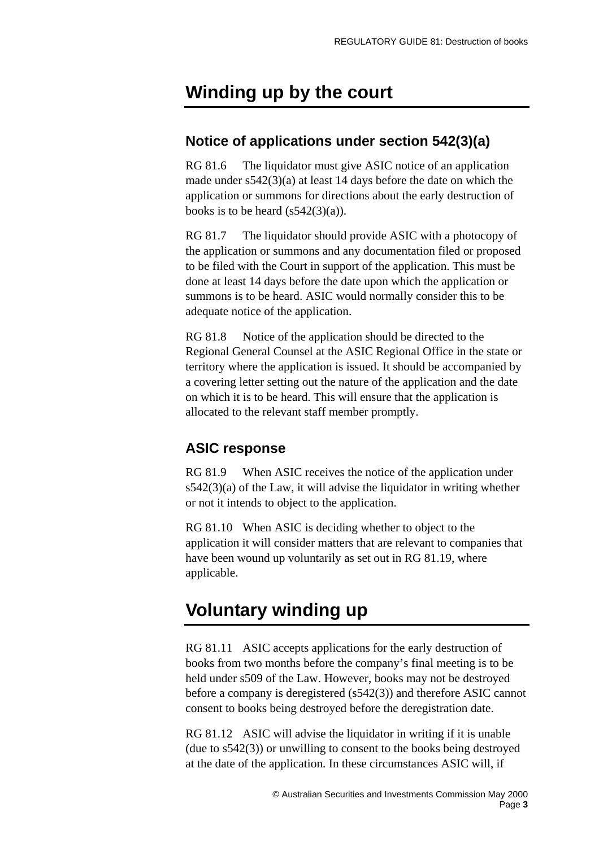### <span id="page-2-0"></span>**Winding up by the court**

#### **Notice of applications under section 542(3)(a)**

RG 81.6 The liquidator must give ASIC notice of an application made under s542(3)(a) at least 14 days before the date on which the application or summons for directions about the early destruction of books is to be heard  $(s542(3)(a))$ .

RG 81.7 The liquidator should provide ASIC with a photocopy of the application or summons and any documentation filed or proposed to be filed with the Court in support of the application. This must be done at least 14 days before the date upon which the application or summons is to be heard. ASIC would normally consider this to be adequate notice of the application.

RG 81.8 Notice of the application should be directed to the Regional General Counsel at the ASIC Regional Office in the state or territory where the application is issued. It should be accompanied by a covering letter setting out the nature of the application and the date on which it is to be heard. This will ensure that the application is allocated to the relevant staff member promptly.

#### **ASIC response**

RG 81.9 When ASIC receives the notice of the application under  $s542(3)(a)$  of the Law, it will advise the liquidator in writing whether or not it intends to object to the application.

RG 81.10 When ASIC is deciding whether to object to the application it will consider matters that are relevant to companies that have been wound up voluntarily as set out in RG 81.19, where applicable.

### **Voluntary winding up**

RG 81.11 ASIC accepts applications for the early destruction of books from two months before the company's final meeting is to be held under s509 of the Law. However, books may not be destroyed before a company is deregistered (s542(3)) and therefore ASIC cannot consent to books being destroyed before the deregistration date.

RG 81.12 ASIC will advise the liquidator in writing if it is unable (due to s542(3)) or unwilling to consent to the books being destroyed at the date of the application. In these circumstances ASIC will, if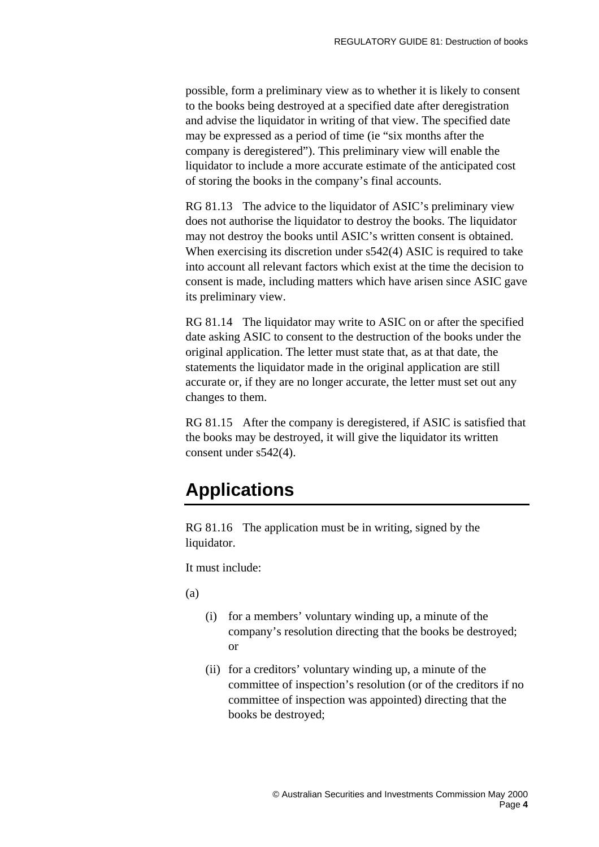<span id="page-3-0"></span>possible, form a preliminary view as to whether it is likely to consent to the books being destroyed at a specified date after deregistration and advise the liquidator in writing of that view. The specified date may be expressed as a period of time (ie "six months after the company is deregistered"). This preliminary view will enable the liquidator to include a more accurate estimate of the anticipated cost of storing the books in the company's final accounts.

RG 81.13 The advice to the liquidator of ASIC's preliminary view does not authorise the liquidator to destroy the books. The liquidator may not destroy the books until ASIC's written consent is obtained. When exercising its discretion under s542(4) ASIC is required to take into account all relevant factors which exist at the time the decision to consent is made, including matters which have arisen since ASIC gave its preliminary view.

RG 81.14 The liquidator may write to ASIC on or after the specified date asking ASIC to consent to the destruction of the books under the original application. The letter must state that, as at that date, the statements the liquidator made in the original application are still accurate or, if they are no longer accurate, the letter must set out any changes to them.

RG 81.15 After the company is deregistered, if ASIC is satisfied that the books may be destroyed, it will give the liquidator its written consent under s542(4).

## **Applications**

RG 81.16 The application must be in writing, signed by the liquidator.

It must include:

(a)

- (i) for a members' voluntary winding up, a minute of the company's resolution directing that the books be destroyed; or
- (ii) for a creditors' voluntary winding up, a minute of the committee of inspection's resolution (or of the creditors if no committee of inspection was appointed) directing that the books be destroyed;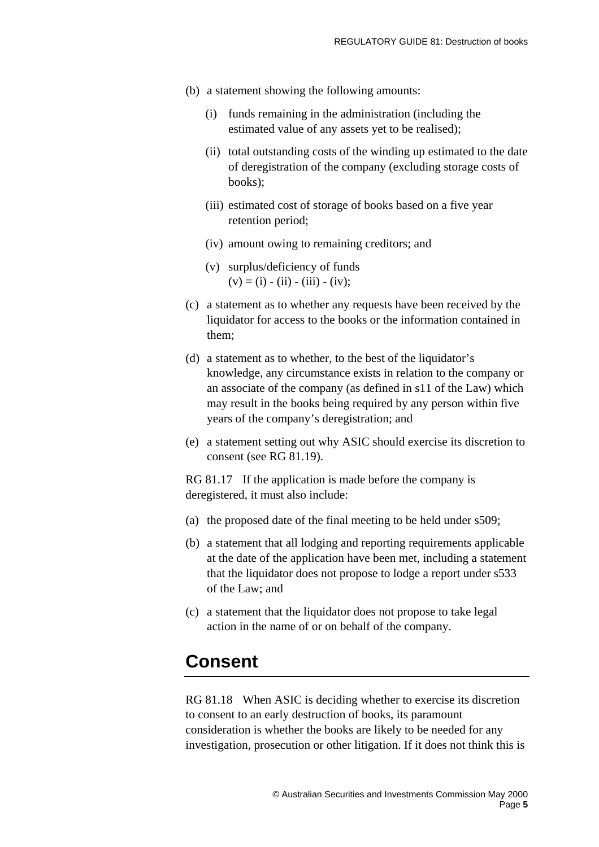- <span id="page-4-0"></span>(b) a statement showing the following amounts:
	- (i) funds remaining in the administration (including the estimated value of any assets yet to be realised);
	- (ii) total outstanding costs of the winding up estimated to the date of deregistration of the company (excluding storage costs of books);
	- (iii) estimated cost of storage of books based on a five year retention period;
	- (iv) amount owing to remaining creditors; and
	- (v) surplus/deficiency of funds  $(v) = (i) - (ii) - (iii) - (iv);$
- (c) a statement as to whether any requests have been received by the liquidator for access to the books or the information contained in them;
- (d) a statement as to whether, to the best of the liquidator's knowledge, any circumstance exists in relation to the company or an associate of the company (as defined in s11 of the Law) which may result in the books being required by any person within five years of the company's deregistration; and
- (e) a statement setting out why ASIC should exercise its discretion to consent (see RG 81.19).

RG 81.17 If the application is made before the company is deregistered, it must also include:

- (a) the proposed date of the final meeting to be held under s509;
- (b) a statement that all lodging and reporting requirements applicable at the date of the application have been met, including a statement that the liquidator does not propose to lodge a report under s533 of the Law; and
- (c) a statement that the liquidator does not propose to take legal action in the name of or on behalf of the company.

### **Consent**

RG 81.18 When ASIC is deciding whether to exercise its discretion to consent to an early destruction of books, its paramount consideration is whether the books are likely to be needed for any investigation, prosecution or other litigation. If it does not think this is